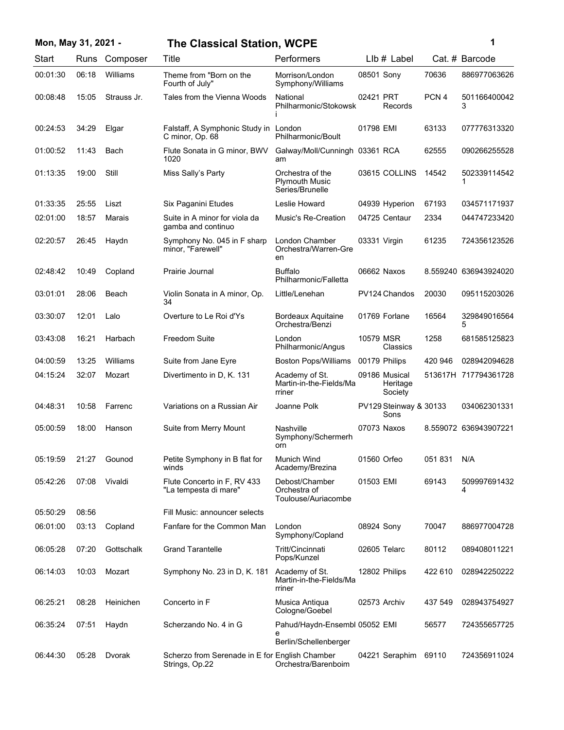| Mon, May 31, 2021 - |          |       |               | <b>The Classical Station, WCPE</b>                               |                                                              |              |                                      |                  | 1                     |
|---------------------|----------|-------|---------------|------------------------------------------------------------------|--------------------------------------------------------------|--------------|--------------------------------------|------------------|-----------------------|
| Start               |          |       | Runs Composer | Title                                                            | Performers                                                   |              | LIb # Label                          |                  | Cat. # Barcode        |
|                     | 00:01:30 | 06:18 | Williams      | Theme from "Born on the<br>Fourth of July"                       | Morrison/London<br>Symphony/Williams                         | 08501 Sony   |                                      | 70636            | 886977063626          |
|                     | 00:08:48 | 15:05 | Strauss Jr.   | Tales from the Vienna Woods                                      | National<br>Philharmonic/Stokowsk                            | 02421 PRT    | Records                              | PCN <sub>4</sub> | 501166400042<br>3     |
|                     | 00:24:53 | 34:29 | Elgar         | Falstaff, A Symphonic Study in London<br>C minor, Op. 68         | Philharmonic/Boult                                           | 01798 EMI    |                                      | 63133            | 077776313320          |
|                     | 01:00:52 | 11:43 | Bach          | Flute Sonata in G minor, BWV<br>1020                             | Galway/Moll/Cunningh 03361 RCA<br>am                         |              |                                      | 62555            | 090266255528          |
|                     | 01:13:35 | 19:00 | Still         | Miss Sally's Party                                               | Orchestra of the<br><b>Plymouth Music</b><br>Series/Brunelle |              | 03615 COLLINS                        | 14542            | 502339114542          |
|                     | 01:33:35 | 25:55 | Liszt         | Six Paganini Etudes                                              | Leslie Howard                                                |              | 04939 Hyperion                       | 67193            | 034571171937          |
|                     | 02:01:00 | 18:57 | Marais        | Suite in A minor for viola da<br>gamba and continuo              | Music's Re-Creation                                          |              | 04725 Centaur                        | 2334             | 044747233420          |
|                     | 02:20:57 | 26:45 | Haydn         | Symphony No. 045 in F sharp<br>minor, "Farewell"                 | London Chamber<br>Orchestra/Warren-Gre<br>en                 | 03331 Virgin |                                      | 61235            | 724356123526          |
|                     | 02:48:42 | 10:49 | Copland       | Prairie Journal                                                  | <b>Buffalo</b><br>Philharmonic/Falletta                      |              | 06662 Naxos                          |                  | 8.559240 636943924020 |
|                     | 03:01:01 | 28:06 | Beach         | Violin Sonata in A minor, Op.<br>34                              | Little/Lenehan                                               |              | PV124 Chandos                        | 20030            | 095115203026          |
|                     | 03:30:07 | 12:01 | Lalo          | Overture to Le Roi d'Ys                                          | <b>Bordeaux Aquitaine</b><br>Orchestra/Benzi                 |              | 01769 Forlane                        | 16564            | 329849016564<br>5     |
|                     | 03:43:08 | 16:21 | Harbach       | <b>Freedom Suite</b>                                             | London<br>Philharmonic/Angus                                 | 10579 MSR    | Classics                             | 1258             | 681585125823          |
|                     | 04:00:59 | 13:25 | Williams      | Suite from Jane Eyre                                             | <b>Boston Pops/Williams</b>                                  |              | 00179 Philips                        | 420 946          | 028942094628          |
|                     | 04:15:24 | 32:07 | Mozart        | Divertimento in D, K. 131                                        | Academy of St.<br>Martin-in-the-Fields/Ma<br>rriner          |              | 09186 Musical<br>Heritage<br>Society |                  | 513617H 717794361728  |
|                     | 04:48:31 | 10:58 | Farrenc       | Variations on a Russian Air                                      | Joanne Polk                                                  |              | PV129 Steinway & 30133<br>Sons       |                  | 034062301331          |
|                     | 05:00:59 | 18:00 | Hanson        | Suite from Merry Mount                                           | Nashville<br>Symphony/Schermerh<br>orn                       | 07073 Naxos  |                                      |                  | 8.559072 636943907221 |
|                     | 05:19:59 | 21:27 | Gounod        | Petite Symphony in B flat for<br>winds                           | Munich Wind<br>Academy/Brezina                               | 01560 Orfeo  |                                      | 051831           | N/A                   |
|                     | 05:42:26 | 07:08 | Vivaldi       | Flute Concerto in F, RV 433<br>"La tempesta di mare"             | Debost/Chamber<br>Orchestra of<br>Toulouse/Auriacombe        | 01503 EMI    |                                      | 69143            | 509997691432<br>4     |
|                     | 05:50:29 | 08:56 |               | Fill Music: announcer selects                                    |                                                              |              |                                      |                  |                       |
|                     | 06:01:00 | 03:13 | Copland       | Fanfare for the Common Man                                       | London<br>Symphony/Copland                                   | 08924 Sony   |                                      | 70047            | 886977004728          |
|                     | 06:05:28 | 07:20 | Gottschalk    | <b>Grand Tarantelle</b>                                          | Tritt/Cincinnati<br>Pops/Kunzel                              |              | 02605 Telarc                         | 80112            | 089408011221          |
|                     | 06:14:03 | 10:03 | Mozart        | Symphony No. 23 in D, K. 181                                     | Academy of St.<br>Martin-in-the-Fields/Ma<br>rriner          |              | 12802 Philips                        | 422 610          | 028942250222          |
|                     | 06:25:21 | 08:28 | Heinichen     | Concerto in F                                                    | Musica Antiqua<br>Cologne/Goebel                             | 02573 Archiv |                                      | 437 549          | 028943754927          |
|                     | 06:35:24 | 07:51 | Haydn         | Scherzando No. 4 in G                                            | Pahud/Haydn-Ensembl 05052 EMI<br>е<br>Berlin/Schellenberger  |              |                                      | 56577            | 724355657725          |
|                     | 06:44:30 | 05:28 | Dvorak        | Scherzo from Serenade in E for English Chamber<br>Strings, Op.22 | Orchestra/Barenboim                                          |              | 04221 Seraphim                       | 69110            | 724356911024          |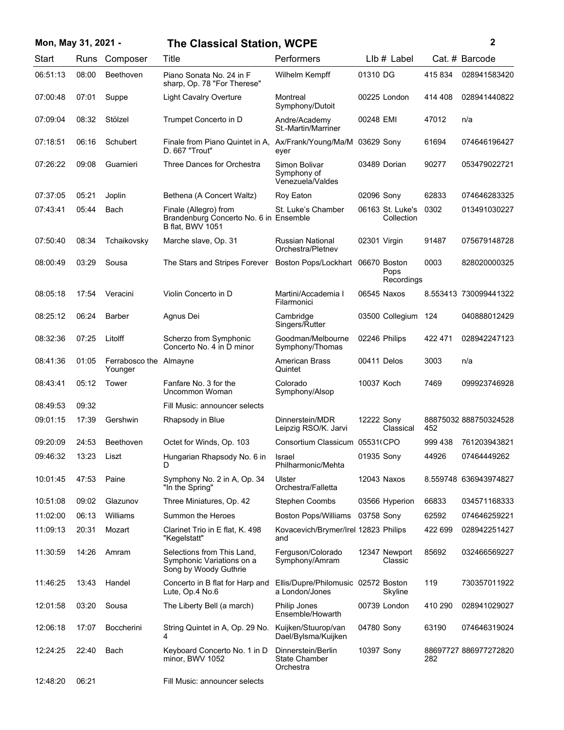| Mon, May 31, 2021 - |       |                                   | <b>The Classical Station, WCPE</b>                                                         |                                                         |              |                                    | 2       |                       |
|---------------------|-------|-----------------------------------|--------------------------------------------------------------------------------------------|---------------------------------------------------------|--------------|------------------------------------|---------|-----------------------|
| Start               | Runs  | Composer                          | Title                                                                                      | Performers                                              |              | LIb # Label                        |         | Cat. # Barcode        |
| 06:51:13            | 08:00 | Beethoven                         | Piano Sonata No. 24 in F<br>sharp, Op. 78 "For Therese"                                    | Wilhelm Kempff                                          | 01310 DG     |                                    | 415834  | 028941583420          |
| 07:00:48            | 07:01 | Suppe                             | <b>Light Cavalry Overture</b>                                                              | Montreal<br>Symphony/Dutoit                             |              | 00225 London                       | 414 408 | 028941440822          |
| 07:09:04            | 08:32 | Stölzel                           | Trumpet Concerto in D                                                                      | Andre/Academy<br><b>St.-Martin/Marriner</b>             | 00248 EMI    |                                    | 47012   | n/a                   |
| 07:18:51            | 06:16 | Schubert                          | Finale from Piano Quintet in A,<br>D. 667 "Trout"                                          | Ax/Frank/Young/Ma/M<br>eyer                             | 03629 Sony   |                                    | 61694   | 074646196427          |
| 07:26:22            | 09:08 | Guarnieri                         | Three Dances for Orchestra                                                                 | Simon Bolivar<br>Symphony of<br>Venezuela/Valdes        |              | 03489 Dorian                       | 90277   | 053479022721          |
| 07:37:05            | 05:21 | Joplin                            | Bethena (A Concert Waltz)                                                                  | Roy Eaton                                               | 02096 Sony   |                                    | 62833   | 074646283325          |
| 07:43:41            | 05:44 | Bach                              | Finale (Allegro) from<br>Brandenburg Concerto No. 6 in Ensemble<br><b>B</b> flat, BWV 1051 | St. Luke's Chamber                                      |              | 06163 St. Luke's<br>Collection     | 0302    | 013491030227          |
| 07:50:40            | 08:34 | Tchaikovsky                       | Marche slave, Op. 31                                                                       | Russian National<br>Orchestra/Pletnev                   | 02301 Virgin |                                    | 91487   | 075679148728          |
| 08:00:49            | 03:29 | Sousa                             | The Stars and Stripes Forever                                                              | Boston Pops/Lockhart                                    |              | 06670 Boston<br>Pops<br>Recordings | 0003    | 828020000325          |
| 08:05:18            | 17:54 | Veracini                          | Violin Concerto in D                                                                       | Martini/Accademia I<br>Filarmonici                      |              | 06545 Naxos                        |         | 8.553413 730099441322 |
| 08:25:12            | 06:24 | <b>Barber</b>                     | Agnus Dei                                                                                  | Cambridge<br>Singers/Rutter                             |              | 03500 Collegium                    | 124     | 040888012429          |
| 08:32:36            | 07:25 | Litolff                           | Scherzo from Symphonic<br>Concerto No. 4 in D minor                                        | Goodman/Melbourne<br>Symphony/Thomas                    |              | 02246 Philips                      | 422 471 | 028942247123          |
| 08:41:36            | 01:05 | Ferrabosco the Almayne<br>Younger |                                                                                            | <b>American Brass</b><br>Quintet                        | 00411 Delos  |                                    | 3003    | n/a                   |
| 08:43:41            | 05:12 | Tower                             | Fanfare No. 3 for the<br>Uncommon Woman                                                    | Colorado<br>Symphony/Alsop                              | 10037 Koch   |                                    | 7469    | 099923746928          |
| 08:49:53            | 09:32 |                                   | Fill Music: announcer selects                                                              |                                                         |              |                                    |         |                       |
| 09:01:15            | 17:39 | Gershwin                          | Rhapsody in Blue                                                                           | Dinnerstein/MDR<br>Leipzig RSO/K. Jarvi                 | 12222 Sony   | Classical                          | 452     | 88875032 888750324528 |
| 09:20:09            | 24:53 | Beethoven                         | Octet for Winds, Op. 103                                                                   | Consortium Classicum 05531(CPO                          |              |                                    | 999 438 | 761203943821          |
| 09:46:32            | 13:23 | Liszt                             | Hungarian Rhapsody No. 6 in<br>D                                                           | <b>Israel</b><br>Philharmonic/Mehta                     | 01935 Sony   |                                    | 44926   | 07464449262           |
| 10:01:45            | 47:53 | Paine                             | Symphony No. 2 in A, Op. 34<br>"In the Spring"                                             | Ulster<br>Orchestra/Falletta                            |              | 12043 Naxos                        |         | 8.559748 636943974827 |
| 10:51:08            | 09:02 | Glazunov                          | Three Miniatures, Op. 42                                                                   | <b>Stephen Coombs</b>                                   |              | 03566 Hyperion                     | 66833   | 034571168333          |
| 11:02:00            | 06:13 | Williams                          | Summon the Heroes                                                                          | <b>Boston Pops/Williams</b>                             | 03758 Sony   |                                    | 62592   | 074646259221          |
| 11:09:13            | 20:31 | Mozart                            | Clarinet Trio in E flat, K. 498<br>"Kegelstatt"                                            | Kovacevich/Brymer/Irel 12823 Philips<br>and             |              |                                    | 422 699 | 028942251427          |
| 11:30:59            | 14:26 | Amram                             | Selections from This Land.<br>Symphonic Variations on a<br>Song by Woody Guthrie           | Ferguson/Colorado<br>Symphony/Amram                     |              | 12347 Newport<br>Classic           | 85692   | 032466569227          |
| 11:46:25            | 13:43 | Handel                            | Concerto in B flat for Harp and<br>Lute, Op.4 No.6                                         | Ellis/Dupre/Philomusic 02572 Boston<br>a London/Jones   |              | Skyline                            | 119     | 730357011922          |
| 12:01:58            | 03:20 | Sousa                             | The Liberty Bell (a march)                                                                 | Philip Jones<br>Ensemble/Howarth                        |              | 00739 London                       | 410 290 | 028941029027          |
| 12:06:18            | 17:07 | <b>Boccherini</b>                 | String Quintet in A, Op. 29 No.<br>4                                                       | Kuijken/Stuurop/van<br>Dael/Bylsma/Kuijken              | 04780 Sony   |                                    | 63190   | 074646319024          |
| 12:24:25            | 22:40 | Bach                              | Keyboard Concerto No. 1 in D<br>minor, BWV 1052                                            | Dinnerstein/Berlin<br><b>State Chamber</b><br>Orchestra | 10397 Sony   |                                    | 282     | 88697727 886977272820 |
| 12:48:20            | 06:21 |                                   | Fill Music: announcer selects                                                              |                                                         |              |                                    |         |                       |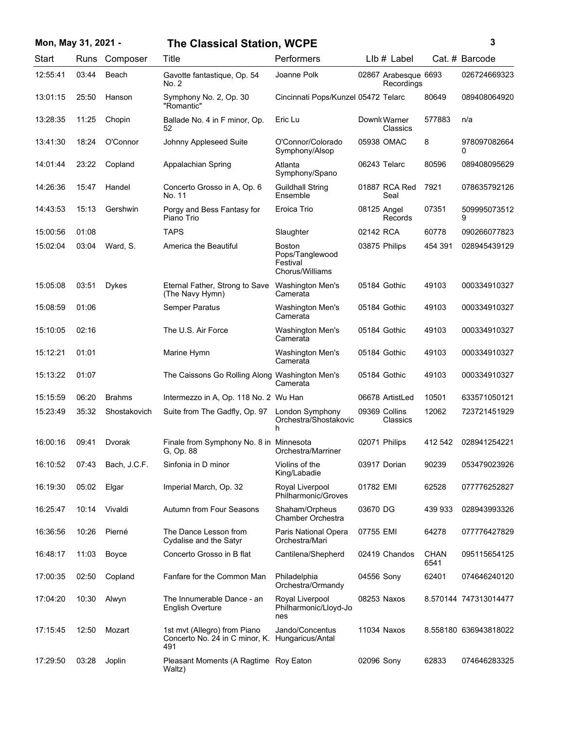| Mon, May 31, 2021 - |       |               | <b>The Classical Station, WCPE</b>                                                     |                                                                 |             |                                    |                     | 3                     |
|---------------------|-------|---------------|----------------------------------------------------------------------------------------|-----------------------------------------------------------------|-------------|------------------------------------|---------------------|-----------------------|
| Start               |       | Runs Composer | Title                                                                                  | Performers                                                      |             | LIb # Label                        |                     | Cat. # Barcode        |
| 12:55:41            | 03:44 | Beach         | Gavotte fantastique, Op. 54<br>No. 2                                                   | Joanne Polk                                                     |             | 02867 Arabesque 6693<br>Recordings |                     | 026724669323          |
| 13:01:15            | 25:50 | Hanson        | Symphony No. 2, Op. 30<br>"Romantic"                                                   | Cincinnati Pops/Kunzel 05472 Telarc                             |             |                                    | 80649               | 089408064920          |
| 13:28:35            | 11:25 | Chopin        | Ballade No. 4 in F minor, Op.<br>52                                                    | Eric Lu                                                         |             | Downk Warner<br>Classics           | 577883              | n/a                   |
| 13:41:30            | 18:24 | O'Connor      | Johnny Appleseed Suite                                                                 | O'Connor/Colorado<br>Symphony/Alsop                             |             | 05938 OMAC                         | 8                   | 978097082664<br>0     |
| 14:01:44            | 23:22 | Copland       | Appalachian Spring                                                                     | Atlanta<br>Symphony/Spano                                       |             | 06243 Telarc                       | 80596               | 089408095629          |
| 14:26:36            | 15:47 | Handel        | Concerto Grosso in A, Op. 6<br>No. 11                                                  | <b>Guildhall String</b><br>Ensemble                             |             | 01887 RCA Red<br>Seal              | 7921                | 078635792126          |
| 14:43:53            | 15:13 | Gershwin      | Porgy and Bess Fantasy for<br>Piano Trio                                               | Eroica Trio                                                     | 08125 Angel | Records                            | 07351               | 509995073512<br>9     |
| 15:00:56            | 01:08 |               | <b>TAPS</b>                                                                            | Slaughter                                                       | 02142 RCA   |                                    | 60778               | 090266077823          |
| 15:02:04            | 03:04 | Ward, S.      | America the Beautiful                                                                  | <b>Boston</b><br>Pops/Tanglewood<br>Festival<br>Chorus/Williams |             | 03875 Philips                      | 454 391             | 028945439129          |
| 15:05:08            | 03:51 | <b>Dykes</b>  | Eternal Father, Strong to Save<br>(The Navy Hymn)                                      | Washington Men's<br>Camerata                                    |             | 05184 Gothic                       | 49103               | 000334910327          |
| 15:08:59            | 01:06 |               | Semper Paratus                                                                         | Washington Men's<br>Camerata                                    |             | 05184 Gothic                       | 49103               | 000334910327          |
| 15:10:05            | 02:16 |               | The U.S. Air Force                                                                     | Washington Men's<br>Camerata                                    |             | 05184 Gothic                       | 49103               | 000334910327          |
| 15:12:21            | 01:01 |               | Marine Hymn                                                                            | Washington Men's<br>Camerata                                    |             | 05184 Gothic                       | 49103               | 000334910327          |
| 15:13:22            | 01:07 |               | The Caissons Go Rolling Along Washington Men's                                         | Camerata                                                        |             | 05184 Gothic                       | 49103               | 000334910327          |
| 15:15:59            | 06:20 | <b>Brahms</b> | Intermezzo in A, Op. 118 No. 2 Wu Han                                                  |                                                                 |             | 06678 ArtistLed                    | 10501               | 633571050121          |
| 15:23:49            | 35:32 | Shostakovich  | Suite from The Gadfly, Op. 97                                                          | London Symphony<br>Orchestra/Shostakovic<br>h                   |             | 09369 Collins<br>Classics          | 12062               | 723721451929          |
| 16:00:16            | 09:41 | Dvorak        | Finale from Symphony No. 8 in Minnesota<br>G. Op. 88                                   | Orchestra/Marriner                                              |             | 02071 Philips                      | 412 542             | 028941254221          |
| 16:10:52            | 07:43 | Bach, J.C.F.  | Sinfonia in D minor                                                                    | Violins of the<br>King/Labadie                                  |             | 03917 Dorian                       | 90239               | 053479023926          |
| 16:19:30            | 05:02 | Elgar         | Imperial March, Op. 32                                                                 | Royal Liverpool<br>Philharmonic/Groves                          | 01782 EMI   |                                    | 62528               | 077776252827          |
| 16:25:47            | 10:14 | Vivaldi       | Autumn from Four Seasons                                                               | Shaham/Orpheus<br>Chamber Orchestra                             | 03670 DG    |                                    | 439 933             | 028943993326          |
| 16:36:56            | 10:26 | Pierné        | The Dance Lesson from<br>Cydalise and the Satyr                                        | Paris National Opera<br>Orchestra/Mari                          | 07755 EMI   |                                    | 64278               | 077776427829          |
| 16:48:17            | 11:03 | Boyce         | Concerto Grosso in B flat                                                              | Cantilena/Shepherd                                              |             | 02419 Chandos                      | <b>CHAN</b><br>6541 | 095115654125          |
| 17:00:35            | 02:50 | Copland       | Fanfare for the Common Man                                                             | Philadelphia<br>Orchestra/Ormandy                               | 04556 Sony  |                                    | 62401               | 074646240120          |
| 17:04:20            | 10:30 | Alwyn         | The Innumerable Dance - an<br><b>English Overture</b>                                  | Royal Liverpool<br>Philharmonic/Lloyd-Jo<br>nes                 |             | 08253 Naxos                        |                     | 8.570144 747313014477 |
| 17:15:45            | 12:50 | Mozart        | 1st mvt (Allegro) from Piano<br>Concerto No. 24 in C minor, K. Hungaricus/Antal<br>491 | Jando/Concentus                                                 |             | 11034 Naxos                        |                     | 8.558180 636943818022 |
| 17:29:50            | 03:28 | Joplin        | Pleasant Moments (A Ragtime Roy Eaton<br>Waltz)                                        |                                                                 | 02096 Sony  |                                    | 62833               | 074646283325          |